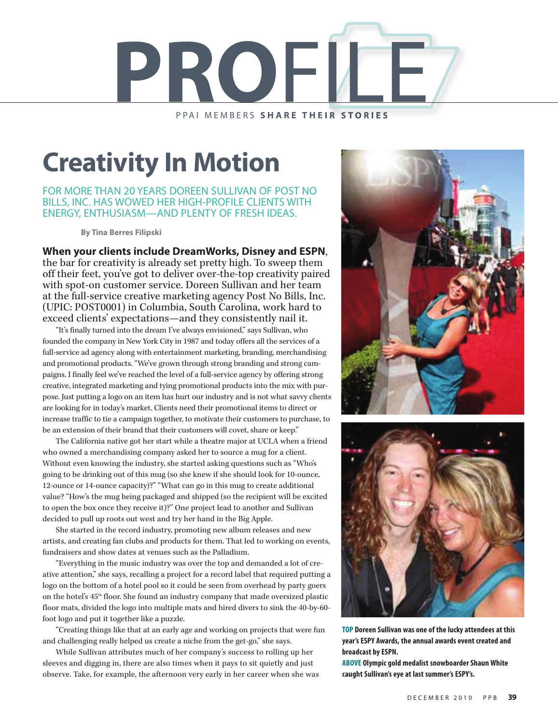

## **Creativity In Motion**

FOR MORE THAN 20 YEARS DOREEN SULLIVAN OF POST NO BILLS, INC. HAS WOWED HER HIGH-PROFILE CLIENTS WITH ENERGY, ENTHUSIASM—AND PLENTY OF FRESH IDEAS.

**By Tina Berres Filipski**

**When your clients include DreamWorks, Disney and ESPN**,

the bar for creativity is already set pretty high. To sweep them off their feet, you've got to deliver over-the-top creativity paired with spot-on customer service. Doreen Sullivan and her team at the full-service creative marketing agency Post No Bills, Inc. (UPIC: POST0001) in Columbia, South Carolina, work hard to exceed clients' expectations—and they consistently nail it.

"It's finally turned into the dream I've always envisioned," says Sullivan, who founded the company in New York City in 1987 and today offers all the services of a full-service ad agency along with entertainment marketing, branding, merchandising and promotional products. "We've grown through strong branding and strong campaigns. I finally feel we've reached the level of a full-service agency by offering strong creative, integrated marketing and tying promotional products into the mix with purpose. Just putting a logo on an item has hurt our industry and is not what savvy clients are looking for in today's market. Clients need their promotional items to direct or increase traffic to tie a campaign together, to motivate their customers to purchase, to be an extension of their brand that their customers will covet, share or keep."

The California native got her start while a theatre major at UCLA when a friend who owned a merchandising company asked her to source a mug for a client. Without even knowing the industry, she started asking questions such as "Who's going to be drinking out of this mug (so she knew if she should look for 10-ounce, 12-ounce or 14-ounce capacity)?" "What can go in this mug to create additional value? "How's the mug being packaged and shipped (so the recipient will be excited to open the box once they receive it)?" One project lead to another and Sullivan decided to pull up roots out west and try her hand in the Big Apple.

She started in the record industry, promoting new album releases and new artists, and creating fan clubs and products for them. That led to working on events, fundraisers and show dates at venues such as the Palladium.

"Everything in the music industry was over the top and demanded a lot of creative attention," she says, recalling a project for a record label that required putting a logo on the bottom of a hotel pool so it could be seen from overhead by party goers on the hotel's 45<sup>th</sup> floor. She found an industry company that made oversized plastic floor mats, divided the logo into multiple mats and hired divers to sink the 40-by-60 foot logo and put it together like a puzzle.

"Creating things like that at an early age and working on projects that were fun and challenging really helped us create a niche from the get-go," she says.

While Sullivan attributes much of her company's success to rolling up her sleeves and digging in, there are also times when it pays to sit quietly and just observe. Take, for example, the afternoon very early in her career when she was





**TOP Doreen Sullivan was one of the lucky attendees at this year'sESPY Awards, the annual awards event created and broadcast byESPN.**

**ABOVE Olympic gold medalist snowboarderShaun White caught Sullivan's eye at last summer's ESPY's.**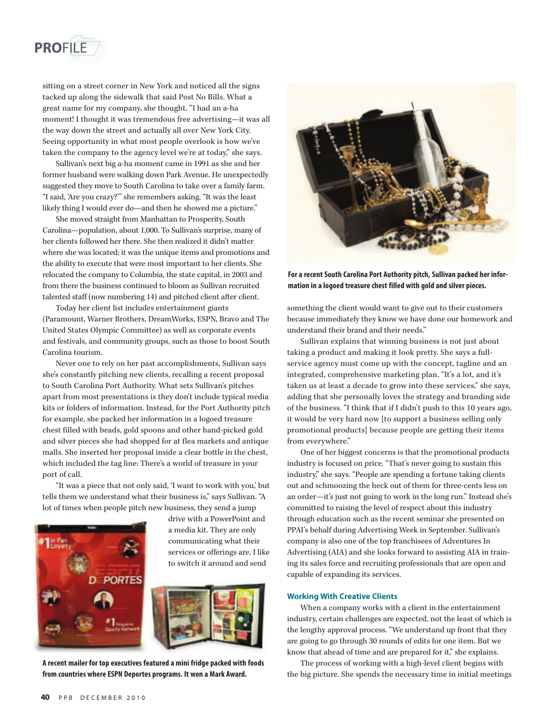

sitting on a street corner in New York and noticed all the signs tacked up along the sidewalk that said Post No Bills. What a great name for my company, she thought. "I had an a-ha moment! I thought it was tremendous free advertising—it was all the way down the street and actually all over New York City. Seeing opportunity in what most people overlook is how we've taken the company to the agency level we're at today," she says.

Sullivan's next big a-ha moment came in 1991 as she and her former husband were walking down Park Avenue. He unexpectedly suggested they move to South Carolina to take over a family farm. "I said, 'Are you crazy?'" she remembers asking. "It was the least likely thing I would ever do—and then he showed me a picture."

She moved straight from Manhattan to Prosperity, South Carolina—population, about 1,000. To Sullivan's surprise, many of her clients followed her there. She then realized it didn't matter where she was located; it was the unique items and promotions and the ability to execute that were most important to her clients. She relocated the company to Columbia, the state capital, in 2003 and from there the business continued to bloom as Sullivan recruited talented staff (now numbering 14) and pitched client after client.

Today her client list includes entertainment giants (Paramount, Warner Brothers, DreamWorks, ESPN, Bravo and The United States Olympic Committee) as well as corporate events and festivals, and community groups, such as those to boost South Carolina tourism.

Never one to rely on her past accomplishments, Sullivan says she's constantly pitching new clients, recalling a recent proposal to South Carolina Port Authority. What sets Sullivan's pitches apart from most presentations is they don't include typical media kits or folders of information. Instead, for the Port Authority pitch for example, she packed her information in a logoed treasure chest filled with beads, gold spoons and other hand-picked gold and silver pieces she had shopped for at flea markets and antique malls. She inserted her proposal inside a clear bottle in the chest, which included the tag line: There's a world of treasure in your port of call.

"It was a piece that not only said, 'I want to work with you,' but tells them we understand what their business is," says Sullivan. "A lot of times when people pitch new business, they send a jump



drive with a PowerPoint and a media kit. They are only communicating what their services or offerings are. I like to switch it around and send



**A recent mailer for top executives featured a mini fridge packed with foods from countries where ESPN Deportes programs. It won a Mark Award.**



For a recent South Carolina Port Authority pitch, Sullivan packed her infor**mation in a logoed treasure chest filled with gold and silver pieces.**

something the client would want to give out to their customers because immediately they know we have done our homework and understand their brand and their needs."

Sullivan explains that winning business is not just about taking a product and making it look pretty. She says a fullservice agency must come up with the concept, tagline and an integrated, comprehensive marketing plan. "It's a lot, and it's taken us at least a decade to grow into these services," she says, adding that she personally loves the strategy and branding side of the business. "I think that if I didn't push to this 10 years ago, it would be very hard now [to support a business selling only promotional products] because people are getting their items from everywhere."

One of her biggest concerns is that the promotional products industry is focused on price. "That's never going to sustain this industry," she says. "People are spending a fortune taking clients out and schmoozing the heck out of them for three-cents less on an order—it's just not going to work in the long run." Instead she's committed to raising the level of respect about this industry through education such as the recent seminar she presented on PPAI's behalf during Advertising Week in September. Sullivan's company is also one of the top franchisees of Adventures In Advertising (AIA) and she looks forward to assisting AIA in training its sales force and recruiting professionals that are open and capable of expanding its services.

## **Working With Creative Clients**

When a company works with a client in the entertainment industry, certain challenges are expected, not the least of which is the lengthy approval process. "We understand up front that they are going to go through 30 rounds of edits for one item. But we know that ahead of time and are prepared for it," she explains.

The process of working with a high-level client begins with the big picture. She spends the necessary time in initial meetings